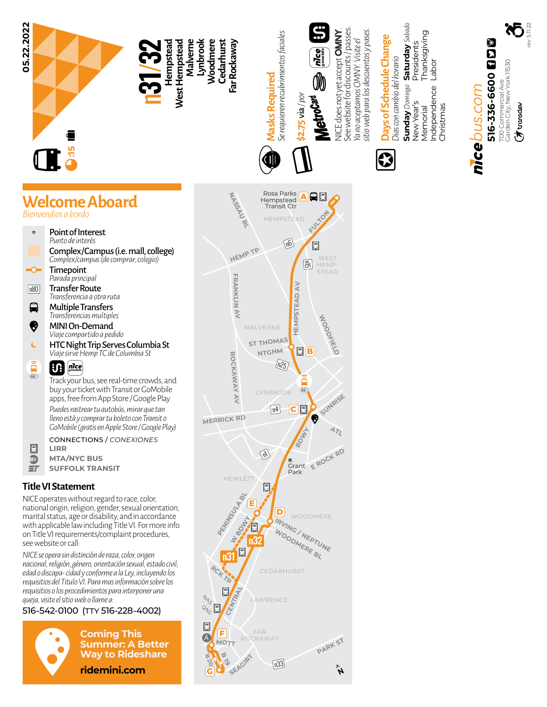

- *Parada principal* Transfer Route *Transferencia a otra ruta*  $\boxed{n80}$
- $\blacksquare$ Multiple Transfers *Transferencias multiples*
- ❸ MINI On-Demand *Viaje compartido a pedido*
- Ċ HTC Night Trip Serves Columbia St *Viaje sirve Hemp TC de Columbia St*

## a<br>B *gomobile*

Track your bus, see real-time crowds, and buy your ticket with Transit or GoMobile apps, free from App Store / Google Play *Puedes rastrear tu autobús, mirar que tan lleno está y comprar tu boleto con Transit o GoMobile (gratis en Apple Store / Google Play)*

CONNECTIONS / *CONEXIONES* **LIRR**

R  $\overline{\mathbb{D}}$ 

**MTA/NYC BUS**  $\mathbf{r}$ **SUFFOLK TRANSIT**

## **Title VI Statement**

NICE operates without regard to race, color, national origin, religion, gender, sexual orientation, marital status, age or disability, and in accordance with applicable law including Title VI. For more info on Title VI requirements/complaint procedures, see website or call:

*NICE se opera sin distinción de raza, color, origen nacional, religión, género, orientación sexual, estado civil, edad o discapa- cidad y conforme a la Ley, incluyendo los requisitios del Titulo VI. Para mas información sobre los requisitios o los procedimientos para interponer una queja, visite el sitio web o llame a:*

## 516-542-0100 (TTY 516-228-4002)



**Coming This Summer: A Better Way to Rideshare ridemini.com**